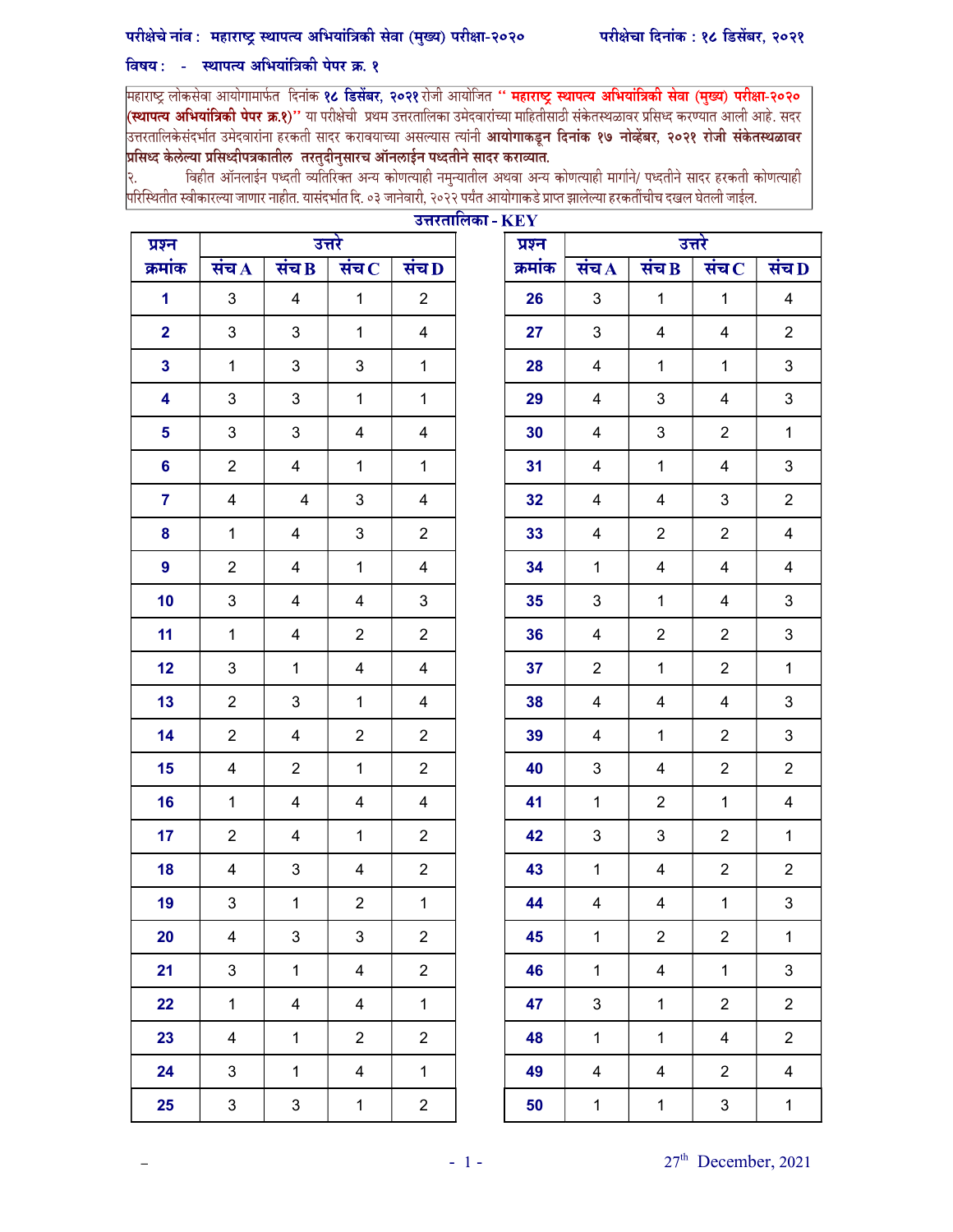## परीक्षेचे नांव: महाराष्ट्र स्थापत्य अभियांत्रिकी सेवा (मुख्य) परीक्षा-२०२०

## विषय: - स्थापत्य अभियांत्रिकी पेपर क्र. १

महाराष्ट्र लोकसेवा आयोगामार्फत दिनांक **१८ डिसेंबर, २०२१** रोजी आयोजित " **महाराष्ट्र स्थापत्य अभियांत्रिकी सेवा (मुख्य) परीक्षा-२०२० (स्थापत्य अभियांत्रिकी पेपर क्र.१)''** या परीक्षेची प्रथम उत्तरतालिका उमेदवारांच्या माहितीसाठी संकेतस्थळावर प्रसिध्द करण्यात आली आहे. सदर<br>उत्तरतालिकेसंदर्भात उमेदवारांना हरकती सादर करावयाच्या असल्यास त्यांनी **आयोगाकडून द** |<br>|प्रसिध्द केलेल्या प्रसिध्दीपत्रकातील तरतुदीनुसारच ऑनलाईन पध्दतीने सादर कराव्यात.

विहीत ऑनलाईन पध्दती व्यतिरिक्त अन्य कोणत्याही नमुन्यातील अथवा अन्य कोणत्याही मार्गाने/ पध्दतीने सादर हरकती कोणत्याही २. |<br>|परिस्थितीत स्वीकारल्या जाणार नाहीत. यासंदर्भात दि. ०३ जानेवारी, २०२२ पर्यंत आयोगाकडे प्राप्त झालेल्या हरकतींचीच दखल घेतली जाईल.

| प्रश्न                  |                         |                           | उत्तरे                  |                             | प्रश्न  | उत्तरे                  |                         |                         |                         |
|-------------------------|-------------------------|---------------------------|-------------------------|-----------------------------|---------|-------------------------|-------------------------|-------------------------|-------------------------|
| क्रमांक                 | संच $\bf{A}$            | संच $\bf B$               | संच $\, {\bf c}$        | संच $\overline{\mathbf{D}}$ | क्रमांक | संच $\mathbf A$         | संच $B$                 | संच $\, {\bf c}$        | संच L                   |
| $\mathbf 1$             | $\mathbf{3}$            | $\overline{\mathbf{4}}$   | $\mathbf{1}$            | $\overline{2}$              | 26      | $\mathfrak{S}$          | $\mathbf{1}$            | $\mathbf{1}$            | $\overline{4}$          |
| $\overline{\mathbf{2}}$ | $\mathfrak{S}$          | $\mathfrak{S}$            | $\mathbf{1}$            | $\overline{4}$              | 27      | $\mathbf{3}$            | $\overline{4}$          | $\overline{\mathbf{4}}$ | $\overline{2}$          |
| $\overline{\mathbf{3}}$ | $\mathbf{1}$            | $\mathsf 3$               | $\mathbf{3}$            | $\mathbf{1}$                | 28      | $\overline{\mathbf{4}}$ | $\mathbf{1}$            | $\mathbf{1}$            | $\mathfrak{S}$          |
| $\overline{\mathbf{4}}$ | $\mathfrak{S}$          | $\ensuremath{\mathsf{3}}$ | $\mathbf{1}$            | $\mathbf{1}$                | 29      | $\overline{4}$          | 3                       | $\overline{\mathbf{4}}$ | $\mathbf{3}$            |
| 5 <sup>5</sup>          | $\mathfrak{S}$          | $\mathfrak{S}$            | $\overline{4}$          | $\overline{\mathbf{4}}$     | 30      | $\overline{\mathbf{4}}$ | 3                       | $\overline{2}$          | $\mathbf{1}$            |
| $6\phantom{a}$          | $\overline{2}$          | $\overline{\mathbf{4}}$   | $\mathbf{1}$            | $\mathbf{1}$                | 31      | $\overline{4}$          | $\mathbf{1}$            | $\overline{\mathbf{4}}$ | $\mathfrak{S}$          |
| $\overline{7}$          | 4                       | $\overline{4}$            | 3                       | $\overline{\mathbf{4}}$     | 32      | $\overline{4}$          | $\overline{4}$          | $\mathfrak{S}$          | $\overline{2}$          |
| 8                       | $\mathbf{1}$            | $\overline{\mathbf{4}}$   | $\mathfrak{S}$          | $\overline{2}$              | 33      | 4                       | $\overline{2}$          | $\overline{2}$          | $\overline{4}$          |
| 9                       | $\overline{2}$          | $\overline{\mathbf{4}}$   | $\mathbf{1}$            | $\overline{\mathbf{4}}$     | 34      | $\mathbf{1}$            | $\overline{4}$          | $\overline{\mathbf{4}}$ | $\overline{4}$          |
| 10                      | $\mathfrak{S}$          | $\overline{\mathbf{4}}$   | $\overline{4}$          | $\mathfrak{B}$              | 35      | $\mathfrak{S}$          | $\mathbf{1}$            | $\overline{\mathbf{4}}$ | $\mathbf{3}$            |
| 11                      | $\mathbf{1}$            | $\overline{\mathbf{4}}$   | $\overline{2}$          | $\overline{2}$              | 36      | $\overline{\mathbf{4}}$ | $\overline{2}$          | $\overline{2}$          | $\mathfrak{S}$          |
| 12                      | $\mathbf{3}$            | $\mathbf{1}$              | 4                       | 4                           | 37      | $\overline{2}$          | $\mathbf{1}$            | $\overline{2}$          | $\mathbf{1}$            |
| 13                      | $\overline{2}$          | 3                         | $\mathbf{1}$            | $\overline{\mathbf{4}}$     | 38      | 4                       | $\overline{\mathbf{4}}$ | $\overline{\mathbf{4}}$ | $\mathbf{3}$            |
| 14                      | $\overline{2}$          | 4                         | $\overline{2}$          | $\overline{2}$              | 39      | 4                       | $\mathbf{1}$            | $\overline{2}$          | $\mathbf{3}$            |
| 15                      | $\overline{4}$          | $\overline{2}$            | $\mathbf{1}$            | $\overline{2}$              | 40      | $\mathfrak{S}$          | $\overline{4}$          | $\overline{2}$          | $\overline{2}$          |
| 16                      | $\mathbf{1}$            | $\overline{\mathbf{4}}$   | $\overline{\mathbf{4}}$ | $\overline{\mathbf{4}}$     | 41      | $\mathbf{1}$            | $\overline{a}$          | $\mathbf{1}$            | $\overline{\mathbf{4}}$ |
| 17                      | $\overline{2}$          | $\overline{\mathbf{4}}$   | $\mathbf{1}$            | $\overline{2}$              | 42      | $\mathbf{3}$            | 3                       | $\overline{2}$          | $\mathbf{1}$            |
| 18                      | 4                       | $\ensuremath{\mathsf{3}}$ | 4                       | $\overline{2}$              | 43      | $\mathbf{1}$            | $\overline{\mathbf{4}}$ | $\overline{2}$          | $\overline{2}$          |
| 19                      | 3                       | $\mathbf{1}$              | $\overline{2}$          | $\mathbf 1$                 | 44      | 4                       | 4                       | $\mathbf{1}$            | $\mathfrak{S}$          |
| 20                      | $\overline{\mathbf{4}}$ | 3                         | 3                       | $\overline{2}$              | 45      | 1                       | $\boldsymbol{2}$        | $\overline{c}$          | $\mathbf{1}$            |
| 21                      | 3                       | $\mathbf{1}$              | $\overline{4}$          | $\overline{2}$              | 46      | $\mathbf{1}$            | $\overline{4}$          | $\mathbf{1}$            | $\mathbf{3}$            |
| 22                      | $\mathbf{1}$            | $\overline{\mathbf{4}}$   | 4                       | $\mathbf{1}$                | 47      | $\mathbf{3}$            | $\mathbf{1}$            | $\overline{2}$          | $\sqrt{2}$              |
| 23                      | 4                       | $\mathbf{1}$              | $\overline{2}$          | $\overline{2}$              | 48      | $\mathbf{1}$            | $\mathbf{1}$            | $\overline{\mathbf{4}}$ | $\overline{2}$          |
| 24                      | $\mathfrak{B}$          | $\mathbf{1}$              | 4                       | $\mathbf{1}$                | 49      | $\overline{\mathbf{4}}$ | 4                       | $\overline{2}$          | $\overline{\mathbf{4}}$ |
| 25                      | $\mathfrak{S}$          | $\ensuremath{\mathsf{3}}$ | $\mathbf{1}$            | $\overline{2}$              | 50      | $\mathbf 1$             | $\mathbf{1}$            | $\mathfrak{S}$          | $\mathbf{1}$            |

|                         |                                      |         |                         |                         | х.                      |                         |  |  |
|-------------------------|--------------------------------------|---------|-------------------------|-------------------------|-------------------------|-------------------------|--|--|
|                         | उत्तरतालिका - $\overline{\rm \bf K}$ |         |                         |                         |                         |                         |  |  |
|                         |                                      | प्रश्न  | उत्तरे                  |                         |                         |                         |  |  |
| .<br>रंच D              |                                      | क्रमांक | संच $\bf A$             | संच $\bf B$             | संच $\, {\bf c}$        | संच D                   |  |  |
| $\overline{2}$          |                                      | 26      | 3                       | $\mathbf{1}$            | $\mathbf{1}$            | $\overline{\mathbf{4}}$ |  |  |
| $\overline{4}$          |                                      | 27      | 3                       | $\overline{\mathbf{4}}$ | $\overline{\mathbf{4}}$ | $\boldsymbol{2}$        |  |  |
| $\mathbf 1$             |                                      | 28      | $\overline{\mathbf{4}}$ | $\mathbf 1$             | $\mathbf 1$             | $\mathbf{3}$            |  |  |
| $\mathbf 1$             |                                      | 29      | $\overline{\mathbf{4}}$ | 3                       | $\overline{\mathbf{4}}$ | 3                       |  |  |
| $\overline{\mathbf{4}}$ |                                      | 30      | $\overline{\mathbf{4}}$ | 3                       | $\overline{c}$          | $\mathbf{1}$            |  |  |
| $\mathbf{1}$            |                                      | 31      | $\overline{\mathbf{4}}$ | $\overline{1}$          | $\overline{\mathbf{4}}$ | $\mathbf{3}$            |  |  |
| $\overline{\mathbf{4}}$ |                                      | 32      | $\overline{\mathbf{4}}$ | $\overline{\mathbf{4}}$ | 3                       | $\overline{2}$          |  |  |
| $\overline{\mathbf{c}}$ |                                      | 33      | $\overline{\mathbf{4}}$ | $\overline{c}$          | $\overline{c}$          | $\overline{\mathbf{4}}$ |  |  |
| $\overline{\mathbf{4}}$ |                                      | 34      | $\mathbf{1}$            | $\overline{\mathbf{4}}$ | $\overline{\mathbf{4}}$ | $\overline{\mathbf{4}}$ |  |  |
| 3                       |                                      | 35      | $\mathsf 3$             | $\mathbf{1}$            | 4                       | $\mathbf{3}$            |  |  |
| $\overline{2}$          |                                      | 36      | $\overline{\mathbf{4}}$ | $\overline{c}$          | $\overline{2}$          | $\mathbf{3}$            |  |  |
| $\overline{\mathbf{4}}$ |                                      | 37      | $\boldsymbol{2}$        | $\mathbf 1$             | $\overline{\mathbf{c}}$ | $\mathbf 1$             |  |  |
| $\overline{\mathbf{4}}$ |                                      | 38      | $\overline{\mathbf{4}}$ | $\overline{\mathbf{4}}$ | 4                       | 3                       |  |  |
| $\overline{2}$          |                                      | 39      | $\overline{\mathbf{4}}$ | $\overline{1}$          | $\overline{\mathbf{c}}$ | 3                       |  |  |
| $\overline{c}$          |                                      | 40      | $\mathsf 3$             | $\overline{\mathbf{4}}$ | $\overline{c}$          | $\overline{2}$          |  |  |
| $\overline{\mathbf{4}}$ |                                      | 41      | $\mathbf 1$             | $\overline{2}$          | $\mathbf{1}$            | $\overline{\mathbf{4}}$ |  |  |
| $\mathbf{2}$            |                                      | 42      | 3                       | 3                       | $\overline{c}$          | $\mathbf 1$             |  |  |
| $\boldsymbol{2}$        |                                      | 43      | $\mathbf 1$             | $\overline{\mathbf{4}}$ | $\overline{c}$          | 2                       |  |  |
| $\overline{1}$          |                                      | 44      | 4                       | $\overline{\mathbf{4}}$ | $\mathbf{1}$            | 3                       |  |  |
| $\overline{\mathbf{c}}$ |                                      | 45      | $\mathbf 1$             | $\overline{2}$          | $\overline{\mathbf{c}}$ | $\mathbf{1}$            |  |  |
| $\overline{\mathbf{c}}$ |                                      | 46      | $\mathbf 1$             | $\overline{\mathbf{4}}$ | $\mathbf{1}$            | 3                       |  |  |
| $\mathbf 1$             |                                      | 47      | 3                       | $\mathbf 1$             | $\overline{c}$          | $\overline{c}$          |  |  |
| $\overline{\mathbf{c}}$ |                                      | 48      | $\overline{1}$          | $\overline{1}$          | $\overline{\mathbf{4}}$ | 2                       |  |  |
| $\mathbf 1$             |                                      | 49      | $\overline{\mathbf{4}}$ | $\overline{\mathbf{4}}$ | $\overline{\mathbf{c}}$ | $\overline{\mathbf{4}}$ |  |  |
| $\overline{\mathbf{c}}$ |                                      | 50      | $\mathbf 1$             | $\mathbf 1$             | 3                       | $\mathbf 1$             |  |  |